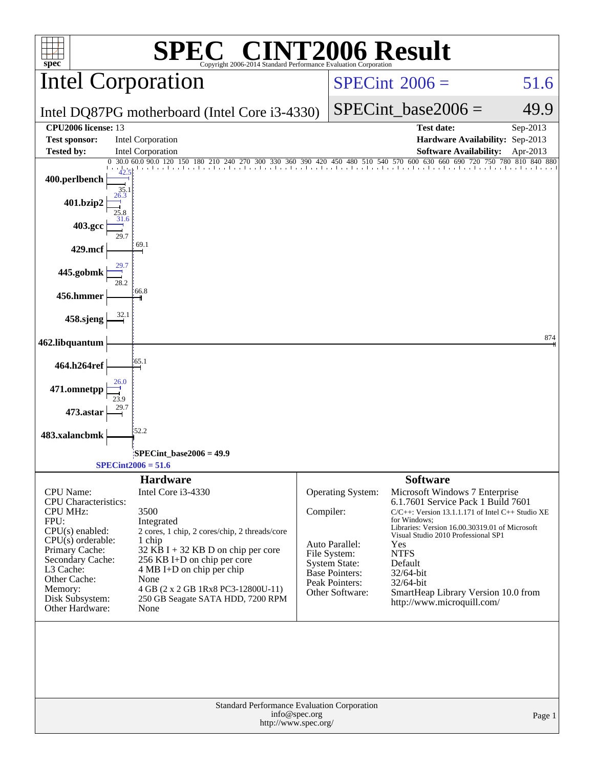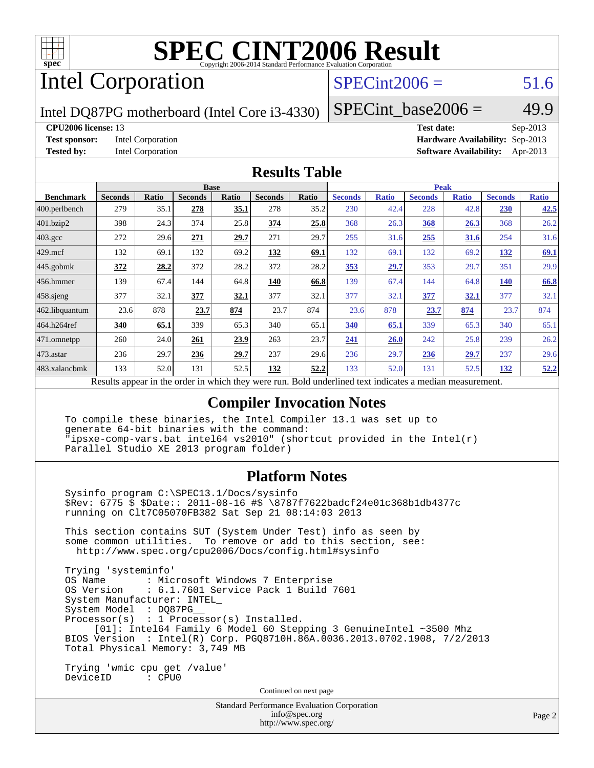

## Intel Corporation

## $SPECint2006 = 51.6$  $SPECint2006 = 51.6$

Intel DQ87PG motherboard (Intel Core i3-4330)

SPECint base2006 =  $49.9$ 

#### **[CPU2006 license:](http://www.spec.org/auto/cpu2006/Docs/result-fields.html#CPU2006license)** 13 **[Test date:](http://www.spec.org/auto/cpu2006/Docs/result-fields.html#Testdate)** Sep-2013

**[Test sponsor:](http://www.spec.org/auto/cpu2006/Docs/result-fields.html#Testsponsor)** Intel Corporation **[Hardware Availability:](http://www.spec.org/auto/cpu2006/Docs/result-fields.html#HardwareAvailability)** Sep-2013 **[Tested by:](http://www.spec.org/auto/cpu2006/Docs/result-fields.html#Testedby)** Intel Corporation **[Software Availability:](http://www.spec.org/auto/cpu2006/Docs/result-fields.html#SoftwareAvailability)** Apr-2013

#### **[Results Table](http://www.spec.org/auto/cpu2006/Docs/result-fields.html#ResultsTable)**

|                                                                                                                   | <b>Base</b>    |              |                |       | <b>Peak</b>    |       |                |              |                |              |                |              |
|-------------------------------------------------------------------------------------------------------------------|----------------|--------------|----------------|-------|----------------|-------|----------------|--------------|----------------|--------------|----------------|--------------|
| <b>Benchmark</b>                                                                                                  | <b>Seconds</b> | <b>Ratio</b> | <b>Seconds</b> | Ratio | <b>Seconds</b> | Ratio | <b>Seconds</b> | <b>Ratio</b> | <b>Seconds</b> | <b>Ratio</b> | <b>Seconds</b> | <b>Ratio</b> |
| $ 400.\text{perlbench}$                                                                                           | 279            | 35.1         | 278            | 35.1  | 278            | 35.2  | 230            | 42.4         | 228            | 42.8         | <b>230</b>     | 42.5         |
| 401.bzip2                                                                                                         | 398            | 24.3         | 374            | 25.8  | 374            | 25.8  | 368            | 26.3         | 368            | 26.3         | 368            | 26.2         |
| $403.\text{gcc}$                                                                                                  | 272            | 29.6         | 271            | 29.7  | 271            | 29.7  | 255            | 31.6         | 255            | <u>31.6</u>  | 254            | 31.6         |
| $429$ .mcf                                                                                                        | 132            | 69.1         | 132            | 69.2  | 132            | 69.1  | 132            | 69.1         | 132            | 69.2         | 132            | 69.1         |
| $445$ .gobmk                                                                                                      | 372            | 28.2         | 372            | 28.2  | 372            | 28.2  | 353            | 29.7         | 353            | 29.7         | 351            | 29.9         |
| 456.hmmer                                                                                                         | 139            | 67.4         | 144            | 64.8  | 140            | 66.8  | 139            | 67.4         | 144            | 64.8         | <b>140</b>     | 66.8         |
| $458$ sjeng                                                                                                       | 377            | 32.1         | 377            | 32.1  | 377            | 32.1  | 377            | 32.1         | 377            | <u>32.1</u>  | 377            | 32.1         |
| 462.libquantum                                                                                                    | 23.6           | 878          | 23.7           | 874   | 23.7           | 874   | 23.6           | 878          | 23.7           | 874          | 23.7           | 874          |
| 464.h264ref                                                                                                       | 340            | 65.1         | 339            | 65.3  | 340            | 65.1  | 340            | 65.1         | 339            | 65.3         | 340            | 65.1         |
| 471.omnetpp                                                                                                       | 260            | 24.0         | 261            | 23.9  | 263            | 23.7  | 241            | 26.0         | 242            | 25.8         | 239            | 26.2         |
| $ 473$ . astar                                                                                                    | 236            | 29.7         | 236            | 29.7  | 237            | 29.6  | 236            | 29.7         | 236            | 29.7         | 237            | 29.6         |
| 483.xalancbmk                                                                                                     | 133            | 52.0         | 131            | 52.5  | 132            | 52,2  | 133            | 52.0         | 131            | 52.5         | 132            | 52.2         |
| Describe encourage in the conduction withink these countries are<br>Deld and called to almost indicates a madison |                |              |                |       |                |       |                |              |                |              |                |              |

Results appear in the [order in which they were run.](http://www.spec.org/auto/cpu2006/Docs/result-fields.html#RunOrder) Bold underlined text [indicates a median measurement.](http://www.spec.org/auto/cpu2006/Docs/result-fields.html#Median)

#### **[Compiler Invocation Notes](http://www.spec.org/auto/cpu2006/Docs/result-fields.html#CompilerInvocationNotes)**

 To compile these binaries, the Intel Compiler 13.1 was set up to generate 64-bit binaries with the command: "ipsxe-comp-vars.bat intel64 vs2010" (shortcut provided in the Intel(r) Parallel Studio XE 2013 program folder)

#### **[Platform Notes](http://www.spec.org/auto/cpu2006/Docs/result-fields.html#PlatformNotes)**

 Sysinfo program C:\SPEC13.1/Docs/sysinfo \$Rev: 6775 \$ \$Date:: 2011-08-16 #\$ \8787f7622badcf24e01c368b1db4377c running on Clt7C05070FB382 Sat Sep 21 08:14:03 2013

 This section contains SUT (System Under Test) info as seen by some common utilities. To remove or add to this section, see: <http://www.spec.org/cpu2006/Docs/config.html#sysinfo>

 Trying 'systeminfo' : Microsoft Windows 7 Enterprise OS Version : 6.1.7601 Service Pack 1 Build 7601 System Manufacturer: INTEL\_ System Model : DQ87PG\_\_ Processor(s) : 1 Processor(s) Installed. [01]: Intel64 Family 6 Model 60 Stepping 3 GenuineIntel ~3500 Mhz BIOS Version : Intel(R) Corp. PGQ8710H.86A.0036.2013.0702.1908, 7/2/2013 Total Physical Memory: 3,749 MB Trying 'wmic cpu get /value'

DeviceID : CPU0

Continued on next page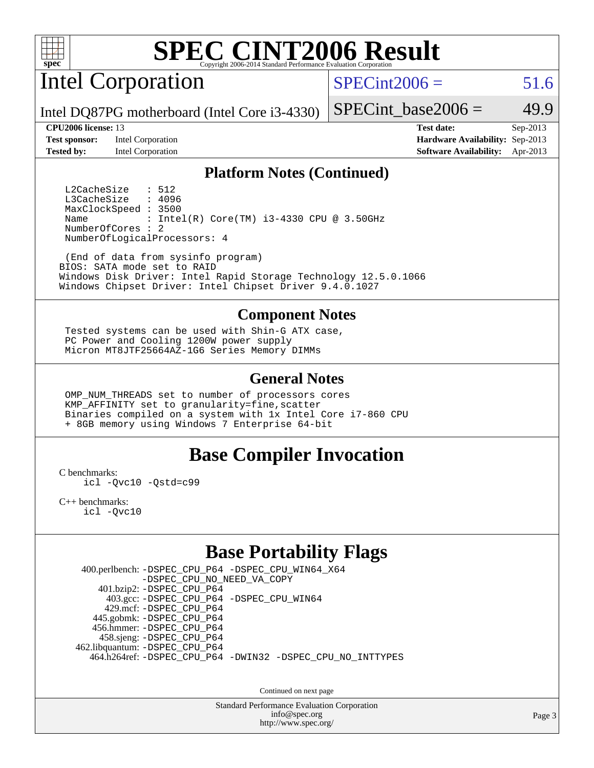

Intel Corporation

 $SPECint2006 = 51.6$  $SPECint2006 = 51.6$ 

Intel DQ87PG motherboard (Intel Core i3-4330)

**[Test sponsor:](http://www.spec.org/auto/cpu2006/Docs/result-fields.html#Testsponsor)** Intel Corporation **[Hardware Availability:](http://www.spec.org/auto/cpu2006/Docs/result-fields.html#HardwareAvailability)** Sep-2013

SPECint base2006 =  $49.9$ 

**[CPU2006 license:](http://www.spec.org/auto/cpu2006/Docs/result-fields.html#CPU2006license)** 13 **[Test date:](http://www.spec.org/auto/cpu2006/Docs/result-fields.html#Testdate)** Sep-2013 **[Tested by:](http://www.spec.org/auto/cpu2006/Docs/result-fields.html#Testedby)** Intel Corporation **[Software Availability:](http://www.spec.org/auto/cpu2006/Docs/result-fields.html#SoftwareAvailability)** Apr-2013

#### **[Platform Notes \(Continued\)](http://www.spec.org/auto/cpu2006/Docs/result-fields.html#PlatformNotes)**

L2CacheSize : 512<br>L3CacheSize : 4096 L3CacheSize MaxClockSpeed : 3500 Name : Intel(R) Core(TM) i3-4330 CPU @ 3.50GHz NumberOfCores : 2 NumberOfLogicalProcessors: 4

 (End of data from sysinfo program) BIOS: SATA mode set to RAID Windows Disk Driver: Intel Rapid Storage Technology 12.5.0.1066 Windows Chipset Driver: Intel Chipset Driver 9.4.0.1027

#### **[Component Notes](http://www.spec.org/auto/cpu2006/Docs/result-fields.html#ComponentNotes)**

 Tested systems can be used with Shin-G ATX case, PC Power and Cooling 1200W power supply Micron MT8JTF25664AZ-1G6 Series Memory DIMMs

#### **[General Notes](http://www.spec.org/auto/cpu2006/Docs/result-fields.html#GeneralNotes)**

 OMP\_NUM\_THREADS set to number of processors cores KMP\_AFFINITY set to granularity=fine,scatter Binaries compiled on a system with 1x Intel Core i7-860 CPU + 8GB memory using Windows 7 Enterprise 64-bit

#### **[Base Compiler Invocation](http://www.spec.org/auto/cpu2006/Docs/result-fields.html#BaseCompilerInvocation)**

[C benchmarks](http://www.spec.org/auto/cpu2006/Docs/result-fields.html#Cbenchmarks):

[icl -Qvc10](http://www.spec.org/cpu2006/results/res2014q3/cpu2006-20140701-30261.flags.html#user_CCbase_intel_icc_vc10_9607f3ecbcdf68042245f068e51b40c1) [-Qstd=c99](http://www.spec.org/cpu2006/results/res2014q3/cpu2006-20140701-30261.flags.html#user_CCbase_intel_compiler_c99_mode_1a3d110e3041b3ad4466830521bdad2a)

[C++ benchmarks:](http://www.spec.org/auto/cpu2006/Docs/result-fields.html#CXXbenchmarks) [icl -Qvc10](http://www.spec.org/cpu2006/results/res2014q3/cpu2006-20140701-30261.flags.html#user_CXXbase_intel_icc_vc10_9607f3ecbcdf68042245f068e51b40c1)

## **[Base Portability Flags](http://www.spec.org/auto/cpu2006/Docs/result-fields.html#BasePortabilityFlags)**

 400.perlbench: [-DSPEC\\_CPU\\_P64](http://www.spec.org/cpu2006/results/res2014q3/cpu2006-20140701-30261.flags.html#b400.perlbench_basePORTABILITY_DSPEC_CPU_P64) [-DSPEC\\_CPU\\_WIN64\\_X64](http://www.spec.org/cpu2006/results/res2014q3/cpu2006-20140701-30261.flags.html#b400.perlbench_baseCPORTABILITY_DSPEC_CPU_WIN64_X64) [-DSPEC\\_CPU\\_NO\\_NEED\\_VA\\_COPY](http://www.spec.org/cpu2006/results/res2014q3/cpu2006-20140701-30261.flags.html#b400.perlbench_baseCPORTABILITY_DSPEC_CPU_NO_NEED_VA_COPY) 401.bzip2: [-DSPEC\\_CPU\\_P64](http://www.spec.org/cpu2006/results/res2014q3/cpu2006-20140701-30261.flags.html#suite_basePORTABILITY401_bzip2_DSPEC_CPU_P64) 403.gcc: [-DSPEC\\_CPU\\_P64](http://www.spec.org/cpu2006/results/res2014q3/cpu2006-20140701-30261.flags.html#suite_basePORTABILITY403_gcc_DSPEC_CPU_P64) [-DSPEC\\_CPU\\_WIN64](http://www.spec.org/cpu2006/results/res2014q3/cpu2006-20140701-30261.flags.html#b403.gcc_baseCPORTABILITY_DSPEC_CPU_WIN64) 429.mcf: [-DSPEC\\_CPU\\_P64](http://www.spec.org/cpu2006/results/res2014q3/cpu2006-20140701-30261.flags.html#suite_basePORTABILITY429_mcf_DSPEC_CPU_P64) 445.gobmk: [-DSPEC\\_CPU\\_P64](http://www.spec.org/cpu2006/results/res2014q3/cpu2006-20140701-30261.flags.html#suite_basePORTABILITY445_gobmk_DSPEC_CPU_P64) 456.hmmer: [-DSPEC\\_CPU\\_P64](http://www.spec.org/cpu2006/results/res2014q3/cpu2006-20140701-30261.flags.html#suite_basePORTABILITY456_hmmer_DSPEC_CPU_P64) 458.sjeng: [-DSPEC\\_CPU\\_P64](http://www.spec.org/cpu2006/results/res2014q3/cpu2006-20140701-30261.flags.html#suite_basePORTABILITY458_sjeng_DSPEC_CPU_P64) 462.libquantum: [-DSPEC\\_CPU\\_P64](http://www.spec.org/cpu2006/results/res2014q3/cpu2006-20140701-30261.flags.html#suite_basePORTABILITY462_libquantum_DSPEC_CPU_P64) 464.h264ref: [-DSPEC\\_CPU\\_P64](http://www.spec.org/cpu2006/results/res2014q3/cpu2006-20140701-30261.flags.html#suite_basePORTABILITY464_h264ref_DSPEC_CPU_P64) [-DWIN32](http://www.spec.org/cpu2006/results/res2014q3/cpu2006-20140701-30261.flags.html#b464.h264ref_baseCPORTABILITY_DWIN32) [-DSPEC\\_CPU\\_NO\\_INTTYPES](http://www.spec.org/cpu2006/results/res2014q3/cpu2006-20140701-30261.flags.html#b464.h264ref_baseCPORTABILITY_DSPEC_CPU_NO_INTTYPES)

Continued on next page

Standard Performance Evaluation Corporation [info@spec.org](mailto:info@spec.org) <http://www.spec.org/>

Page 3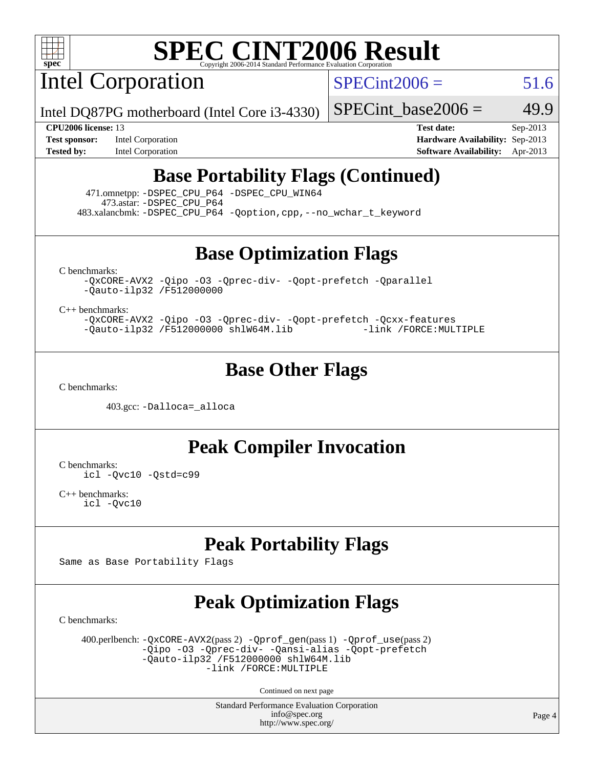

Intel Corporation

 $SPECint2006 = 51.6$  $SPECint2006 = 51.6$ 

Intel DQ87PG motherboard (Intel Core i3-4330)

**[Tested by:](http://www.spec.org/auto/cpu2006/Docs/result-fields.html#Testedby)** Intel Corporation **[Software Availability:](http://www.spec.org/auto/cpu2006/Docs/result-fields.html#SoftwareAvailability)** Apr-2013

**[CPU2006 license:](http://www.spec.org/auto/cpu2006/Docs/result-fields.html#CPU2006license)** 13 **[Test date:](http://www.spec.org/auto/cpu2006/Docs/result-fields.html#Testdate)** Sep-2013 **[Test sponsor:](http://www.spec.org/auto/cpu2006/Docs/result-fields.html#Testsponsor)** Intel Corporation **[Hardware Availability:](http://www.spec.org/auto/cpu2006/Docs/result-fields.html#HardwareAvailability)** Sep-2013

SPECint base2006 =  $49.9$ 

## **[Base Portability Flags \(Continued\)](http://www.spec.org/auto/cpu2006/Docs/result-fields.html#BasePortabilityFlags)**

 471.omnetpp: [-DSPEC\\_CPU\\_P64](http://www.spec.org/cpu2006/results/res2014q3/cpu2006-20140701-30261.flags.html#suite_basePORTABILITY471_omnetpp_DSPEC_CPU_P64) [-DSPEC\\_CPU\\_WIN64](http://www.spec.org/cpu2006/results/res2014q3/cpu2006-20140701-30261.flags.html#b471.omnetpp_baseCXXPORTABILITY_DSPEC_CPU_WIN64) 473.astar: [-DSPEC\\_CPU\\_P64](http://www.spec.org/cpu2006/results/res2014q3/cpu2006-20140701-30261.flags.html#suite_basePORTABILITY473_astar_DSPEC_CPU_P64) 483.xalancbmk: [-DSPEC\\_CPU\\_P64](http://www.spec.org/cpu2006/results/res2014q3/cpu2006-20140701-30261.flags.html#suite_basePORTABILITY483_xalancbmk_DSPEC_CPU_P64) [-Qoption,cpp,--no\\_wchar\\_t\\_keyword](http://www.spec.org/cpu2006/results/res2014q3/cpu2006-20140701-30261.flags.html#user_baseCXXPORTABILITY483_xalancbmk_f-no_wchar_t_keyword_ec0ad4495a16b4e858bfcb29d949d25d)

**[Base Optimization Flags](http://www.spec.org/auto/cpu2006/Docs/result-fields.html#BaseOptimizationFlags)**

[C benchmarks](http://www.spec.org/auto/cpu2006/Docs/result-fields.html#Cbenchmarks):

[-QxCORE-AVX2](http://www.spec.org/cpu2006/results/res2014q3/cpu2006-20140701-30261.flags.html#user_CCbase_f-QxAVX2_f98716b5f9e905f99c943c56f21bf430) [-Qipo](http://www.spec.org/cpu2006/results/res2014q3/cpu2006-20140701-30261.flags.html#user_CCbase_f-Qipo) [-O3](http://www.spec.org/cpu2006/results/res2014q3/cpu2006-20140701-30261.flags.html#user_CCbase_f-O3) [-Qprec-div-](http://www.spec.org/cpu2006/results/res2014q3/cpu2006-20140701-30261.flags.html#user_CCbase_f-Qprec-div-) [-Qopt-prefetch](http://www.spec.org/cpu2006/results/res2014q3/cpu2006-20140701-30261.flags.html#user_CCbase_f-Qprefetch_37c211608666b9dff9380561f602f0a8) [-Qparallel](http://www.spec.org/cpu2006/results/res2014q3/cpu2006-20140701-30261.flags.html#user_CCbase_f-Qparallel) [-Qauto-ilp32](http://www.spec.org/cpu2006/results/res2014q3/cpu2006-20140701-30261.flags.html#user_CCbase_f-Qauto-ilp32) [/F512000000](http://www.spec.org/cpu2006/results/res2014q3/cpu2006-20140701-30261.flags.html#user_CCbase_set_stack_space_98438a10eb60aa5f35f4c79d9b9b27b1)

[C++ benchmarks:](http://www.spec.org/auto/cpu2006/Docs/result-fields.html#CXXbenchmarks)

[-QxCORE-AVX2](http://www.spec.org/cpu2006/results/res2014q3/cpu2006-20140701-30261.flags.html#user_CXXbase_f-QxAVX2_f98716b5f9e905f99c943c56f21bf430) [-Qipo](http://www.spec.org/cpu2006/results/res2014q3/cpu2006-20140701-30261.flags.html#user_CXXbase_f-Qipo) [-O3](http://www.spec.org/cpu2006/results/res2014q3/cpu2006-20140701-30261.flags.html#user_CXXbase_f-O3) [-Qprec-div-](http://www.spec.org/cpu2006/results/res2014q3/cpu2006-20140701-30261.flags.html#user_CXXbase_f-Qprec-div-) [-Qopt-prefetch](http://www.spec.org/cpu2006/results/res2014q3/cpu2006-20140701-30261.flags.html#user_CXXbase_f-Qprefetch_37c211608666b9dff9380561f602f0a8) [-Qcxx-features](http://www.spec.org/cpu2006/results/res2014q3/cpu2006-20140701-30261.flags.html#user_CXXbase_f-Qcxx_features_dbf36c8a6dba956e22f1645e4dcd4d98) [-Qauto-ilp32](http://www.spec.org/cpu2006/results/res2014q3/cpu2006-20140701-30261.flags.html#user_CXXbase_f-Qauto-ilp32) [/F512000000](http://www.spec.org/cpu2006/results/res2014q3/cpu2006-20140701-30261.flags.html#user_CXXbase_set_stack_space_98438a10eb60aa5f35f4c79d9b9b27b1) [shlW64M.lib](http://www.spec.org/cpu2006/results/res2014q3/cpu2006-20140701-30261.flags.html#user_CXXbase_SmartHeap64_c4f7f76711bdf8c0633a5c1edf6e5396) [-link /FORCE:MULTIPLE](http://www.spec.org/cpu2006/results/res2014q3/cpu2006-20140701-30261.flags.html#user_CXXbase_link_force_multiple2_070fe330869edf77077b841074b8b0b6)

### **[Base Other Flags](http://www.spec.org/auto/cpu2006/Docs/result-fields.html#BaseOtherFlags)**

[C benchmarks](http://www.spec.org/auto/cpu2006/Docs/result-fields.html#Cbenchmarks):

403.gcc: [-Dalloca=\\_alloca](http://www.spec.org/cpu2006/results/res2014q3/cpu2006-20140701-30261.flags.html#b403.gcc_baseEXTRA_CFLAGS_Dalloca_be3056838c12de2578596ca5467af7f3)

**[Peak Compiler Invocation](http://www.spec.org/auto/cpu2006/Docs/result-fields.html#PeakCompilerInvocation)**

[C benchmarks](http://www.spec.org/auto/cpu2006/Docs/result-fields.html#Cbenchmarks): [icl -Qvc10](http://www.spec.org/cpu2006/results/res2014q3/cpu2006-20140701-30261.flags.html#user_CCpeak_intel_icc_vc10_9607f3ecbcdf68042245f068e51b40c1) [-Qstd=c99](http://www.spec.org/cpu2006/results/res2014q3/cpu2006-20140701-30261.flags.html#user_CCpeak_intel_compiler_c99_mode_1a3d110e3041b3ad4466830521bdad2a)

[C++ benchmarks:](http://www.spec.org/auto/cpu2006/Docs/result-fields.html#CXXbenchmarks) [icl -Qvc10](http://www.spec.org/cpu2006/results/res2014q3/cpu2006-20140701-30261.flags.html#user_CXXpeak_intel_icc_vc10_9607f3ecbcdf68042245f068e51b40c1)

## **[Peak Portability Flags](http://www.spec.org/auto/cpu2006/Docs/result-fields.html#PeakPortabilityFlags)**

Same as Base Portability Flags

# **[Peak Optimization Flags](http://www.spec.org/auto/cpu2006/Docs/result-fields.html#PeakOptimizationFlags)**

[C benchmarks](http://www.spec.org/auto/cpu2006/Docs/result-fields.html#Cbenchmarks):

 400.perlbench: [-QxCORE-AVX2](http://www.spec.org/cpu2006/results/res2014q3/cpu2006-20140701-30261.flags.html#user_peakPASS2_CFLAGSPASS2_LDFLAGS400_perlbench_f-QxAVX2_f98716b5f9e905f99c943c56f21bf430)(pass 2) [-Qprof\\_gen](http://www.spec.org/cpu2006/results/res2014q3/cpu2006-20140701-30261.flags.html#user_peakPASS1_CFLAGSPASS1_LDFLAGS400_perlbench_Qprof_gen)(pass 1) [-Qprof\\_use](http://www.spec.org/cpu2006/results/res2014q3/cpu2006-20140701-30261.flags.html#user_peakPASS2_CFLAGSPASS2_LDFLAGS400_perlbench_Qprof_use)(pass 2) [-Qipo](http://www.spec.org/cpu2006/results/res2014q3/cpu2006-20140701-30261.flags.html#user_peakOPTIMIZE400_perlbench_f-Qipo) [-O3](http://www.spec.org/cpu2006/results/res2014q3/cpu2006-20140701-30261.flags.html#user_peakOPTIMIZE400_perlbench_f-O3) [-Qprec-div-](http://www.spec.org/cpu2006/results/res2014q3/cpu2006-20140701-30261.flags.html#user_peakOPTIMIZE400_perlbench_f-Qprec-div-) [-Qansi-alias](http://www.spec.org/cpu2006/results/res2014q3/cpu2006-20140701-30261.flags.html#user_peakOPTIMIZE400_perlbench_f-Qansi-alias) [-Qopt-prefetch](http://www.spec.org/cpu2006/results/res2014q3/cpu2006-20140701-30261.flags.html#user_peakOPTIMIZE400_perlbench_f-Qprefetch_37c211608666b9dff9380561f602f0a8)  $-\tilde{Q}$ auto-ilp32 [/F512000000](http://www.spec.org/cpu2006/results/res2014q3/cpu2006-20140701-30261.flags.html#user_peakEXTRA_LDFLAGS400_perlbench_set_stack_space_98438a10eb60aa5f35f4c79d9b9b27b1) [shlW64M.lib](http://www.spec.org/cpu2006/results/res2014q3/cpu2006-20140701-30261.flags.html#user_peakEXTRA_LIBS400_perlbench_SmartHeap64_c4f7f76711bdf8c0633a5c1edf6e5396)  [-link /FORCE:MULTIPLE](http://www.spec.org/cpu2006/results/res2014q3/cpu2006-20140701-30261.flags.html#user_peakLDOUT400_perlbench_link_force_multiple2_070fe330869edf77077b841074b8b0b6)

Continued on next page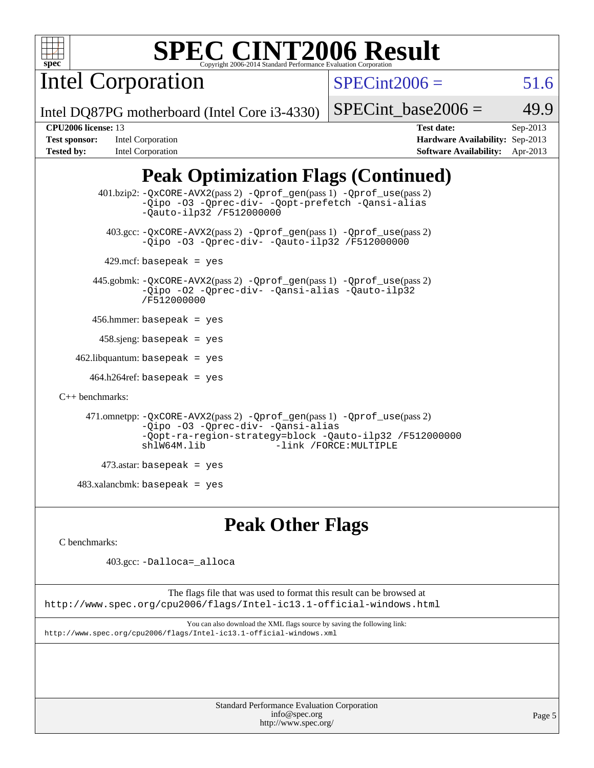

Intel Corporation

 $SPECint2006 = 51.6$  $SPECint2006 = 51.6$ 

Intel DQ87PG motherboard (Intel Core i3-4330)

SPECint base2006 =  $49.9$ 

| <b>Test sponsor:</b> | Intel Corporation        |
|----------------------|--------------------------|
| Tested by:           | <b>Intel Corporation</b> |

**[CPU2006 license:](http://www.spec.org/auto/cpu2006/Docs/result-fields.html#CPU2006license)** 13 **[Test date:](http://www.spec.org/auto/cpu2006/Docs/result-fields.html#Testdate)** Sep-2013 **[Hardware Availability:](http://www.spec.org/auto/cpu2006/Docs/result-fields.html#HardwareAvailability)** Sep-2013 **[Software Availability:](http://www.spec.org/auto/cpu2006/Docs/result-fields.html#SoftwareAvailability)** Apr-2013

## **[Peak Optimization Flags \(Continued\)](http://www.spec.org/auto/cpu2006/Docs/result-fields.html#PeakOptimizationFlags)**

```
 401.bzip2: -QxCORE-AVX2(pass 2) -Qprof_gen(pass 1) -Qprof_use(pass 2)
                -Qipo -O3 -Qprec-div- -Qopt-prefetch -Qansi-alias
                -Qauto-ilp32 /F512000000
          403.gcc: -QxCORE-AVX2(pass 2) -Qprof_gen(pass 1) -Qprof_use(pass 2)
                -Qipo -O3 -Qprec-div- -Qauto-ilp32 /F512000000
        429.mcf: basepeak = yes
       445.gobmk: -QxCORE-AVX2(pass 2) -Qprof_gen(pass 1) -Qprof_use(pass 2)
                -Qipo -O2 -Qprec-div- -Qansi-alias -Qauto-ilp32
                /F512000000
       456.hmmer: basepeak = yes
       458 \text{.}sjeng: basepeak = yes
   462.libquantum: basepeak = yes
      464.h264ref: basepeak = yes
C++ benchmarks: 
      471.omnetpp: -QxCORE-AVX2(pass 2) -Qprof_gen(pass 1) -Qprof_use(pass 2)
                -Qipo -O3 -Qprec-div- -Qansi-alias
                -Qopt-ra-region-strategy=block -Qauto-ilp32 /F512000000
                                          -link /FORCE: MULTIPLE
         473.astar: basepeak = yes
   483.xalanchmk: basepeak = yes
```
## **[Peak Other Flags](http://www.spec.org/auto/cpu2006/Docs/result-fields.html#PeakOtherFlags)**

[C benchmarks](http://www.spec.org/auto/cpu2006/Docs/result-fields.html#Cbenchmarks):

403.gcc: [-Dalloca=\\_alloca](http://www.spec.org/cpu2006/results/res2014q3/cpu2006-20140701-30261.flags.html#b403.gcc_peakEXTRA_CFLAGS_Dalloca_be3056838c12de2578596ca5467af7f3)

The flags file that was used to format this result can be browsed at <http://www.spec.org/cpu2006/flags/Intel-ic13.1-official-windows.html>

You can also download the XML flags source by saving the following link: <http://www.spec.org/cpu2006/flags/Intel-ic13.1-official-windows.xml>